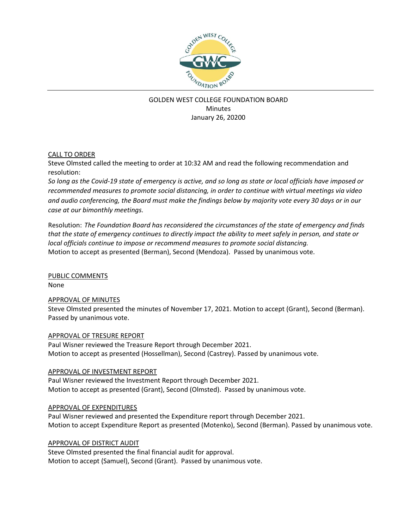

# GOLDEN WEST COLLEGE FOUNDATION BOARD **Minutes** January 26, 20200

## CALL TO ORDER

Steve Olmsted called the meeting to order at 10:32 AM and read the following recommendation and resolution:

*So long as the Covid-19 state of emergency is active, and so long as state or local officials have imposed or recommended measures to promote social distancing, in order to continue with virtual meetings via video and audio conferencing, the Board must make the findings below by majority vote every 30 days or in our case at our bimonthly meetings.*

Resolution: *The Foundation Board has reconsidered the circumstances of the state of emergency and finds that the state of emergency continues to directly impact the ability to meet safely in person, and state or local officials continue to impose or recommend measures to promote social distancing.* Motion to accept as presented (Berman), Second (Mendoza). Passed by unanimous vote.

PUBLIC COMMENTS None

### APPROVAL OF MINUTES

Steve Olmsted presented the minutes of November 17, 2021. Motion to accept (Grant), Second (Berman). Passed by unanimous vote.

### APPROVAL OF TRESURE REPORT

Paul Wisner reviewed the Treasure Report through December 2021. Motion to accept as presented (Hossellman), Second (Castrey). Passed by unanimous vote.

### APPROVAL OF INVESTMENT REPORT

Paul Wisner reviewed the Investment Report through December 2021. Motion to accept as presented (Grant), Second (Olmsted). Passed by unanimous vote.

### APPROVAL OF EXPENDITURES

Paul Wisner reviewed and presented the Expenditure report through December 2021. Motion to accept Expenditure Report as presented (Motenko), Second (Berman). Passed by unanimous vote.

### APPROVAL OF DISTRICT AUDIT

Steve Olmsted presented the final financial audit for approval. Motion to accept (Samuel), Second (Grant). Passed by unanimous vote.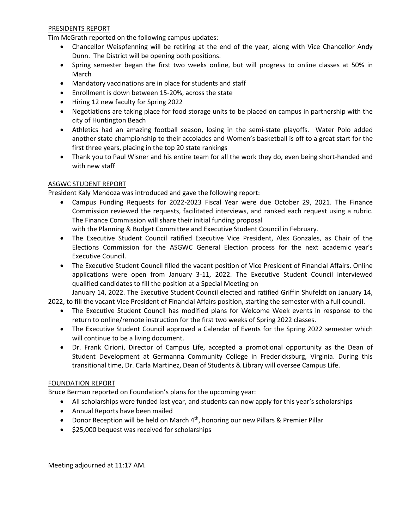#### PRESIDENTS REPORT

Tim McGrath reported on the following campus updates:

- Chancellor Weispfenning will be retiring at the end of the year, along with Vice Chancellor Andy Dunn. The District will be opening both positions.
- Spring semester began the first two weeks online, but will progress to online classes at 50% in March
- Mandatory vaccinations are in place for students and staff
- Enrollment is down between 15-20%, across the state
- Hiring 12 new faculty for Spring 2022
- Negotiations are taking place for food storage units to be placed on campus in partnership with the city of Huntington Beach
- Athletics had an amazing football season, losing in the semi-state playoffs. Water Polo added another state championship to their accolades and Women's basketball is off to a great start for the first three years, placing in the top 20 state rankings
- Thank you to Paul Wisner and his entire team for all the work they do, even being short-handed and with new staff

#### ASGWC STUDENT REPORT

President Kaly Mendoza was introduced and gave the following report:

• Campus Funding Requests for 2022-2023 Fiscal Year were due October 29, 2021. The Finance Commission reviewed the requests, facilitated interviews, and ranked each request using a rubric. The Finance Commission will share their initial funding proposal

with the Planning & Budget Committee and Executive Student Council in February.

- The Executive Student Council ratified Executive Vice President, Alex Gonzales, as Chair of the Elections Commission for the ASGWC General Election process for the next academic year's Executive Council.
- The Executive Student Council filled the vacant position of Vice President of Financial Affairs. Online applications were open from January 3-11, 2022. The Executive Student Council interviewed qualified candidates to fill the position at a Special Meeting on

January 14, 2022. The Executive Student Council elected and ratified Griffin Shufeldt on January 14, 2022, to fill the vacant Vice President of Financial Affairs position, starting the semester with a full council.

- The Executive Student Council has modified plans for Welcome Week events in response to the return to online/remote instruction for the first two weeks of Spring 2022 classes.
- The Executive Student Council approved a Calendar of Events for the Spring 2022 semester which will continue to be a living document.
- Dr. Frank Cirioni, Director of Campus Life, accepted a promotional opportunity as the Dean of Student Development at Germanna Community College in Fredericksburg, Virginia. During this transitional time, Dr. Carla Martinez, Dean of Students & Library will oversee Campus Life.

### FOUNDATION REPORT

Bruce Berman reported on Foundation's plans for the upcoming year:

- All scholarships were funded last year, and students can now apply for this year's scholarships
- Annual Reports have been mailed
- Donor Reception will be held on March 4<sup>th</sup>, honoring our new Pillars & Premier Pillar
- \$25,000 bequest was received for scholarships

Meeting adjourned at 11:17 AM.